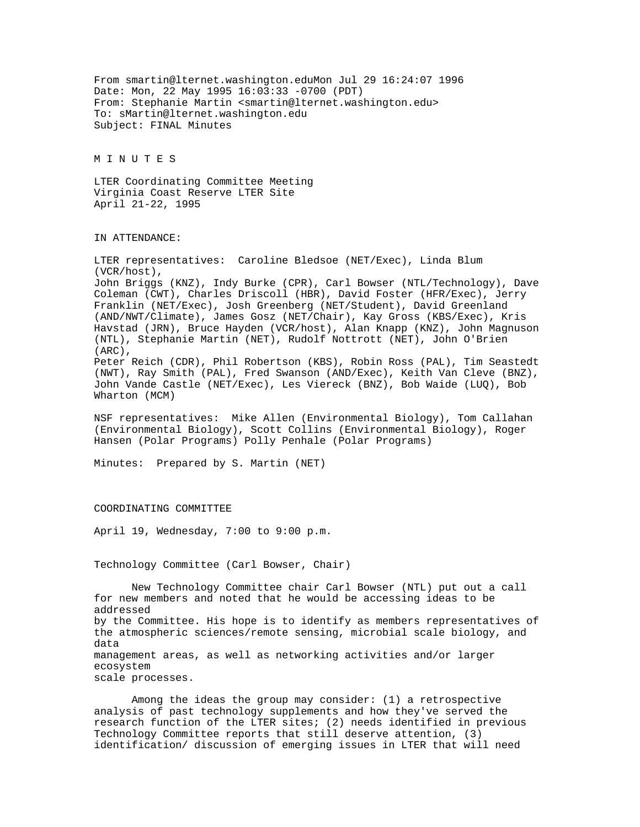From smartin@lternet.washington.eduMon Jul 29 16:24:07 1996 Date: Mon, 22 May 1995 16:03:33 -0700 (PDT) From: Stephanie Martin <smartin@lternet.washington.edu> To: sMartin@lternet.washington.edu Subject: FINAL Minutes

M I N U T E S

LTER Coordinating Committee Meeting Virginia Coast Reserve LTER Site April 21-22, 1995

## IN ATTENDANCE:

LTER representatives: Caroline Bledsoe (NET/Exec), Linda Blum (VCR/host), John Briggs (KNZ), Indy Burke (CPR), Carl Bowser (NTL/Technology), Dave Coleman (CWT), Charles Driscoll (HBR), David Foster (HFR/Exec), Jerry Franklin (NET/Exec), Josh Greenberg (NET/Student), David Greenland (AND/NWT/Climate), James Gosz (NET/Chair), Kay Gross (KBS/Exec), Kris Havstad (JRN), Bruce Hayden (VCR/host), Alan Knapp (KNZ), John Magnuson (NTL), Stephanie Martin (NET), Rudolf Nottrott (NET), John O'Brien (ARC), Peter Reich (CDR), Phil Robertson (KBS), Robin Ross (PAL), Tim Seastedt (NWT), Ray Smith (PAL), Fred Swanson (AND/Exec), Keith Van Cleve (BNZ), John Vande Castle (NET/Exec), Les Viereck (BNZ), Bob Waide (LUQ), Bob Wharton (MCM)

NSF representatives: Mike Allen (Environmental Biology), Tom Callahan (Environmental Biology), Scott Collins (Environmental Biology), Roger Hansen (Polar Programs) Polly Penhale (Polar Programs)

Minutes: Prepared by S. Martin (NET)

#### COORDINATING COMMITTEE

April 19, Wednesday, 7:00 to 9:00 p.m.

### Technology Committee (Carl Bowser, Chair)

New Technology Committee chair Carl Bowser (NTL) put out a call for new members and noted that he would be accessing ideas to be addressed by the Committee. His hope is to identify as members representatives of the atmospheric sciences/remote sensing, microbial scale biology, and data management areas, as well as networking activities and/or larger ecosystem scale processes.

Among the ideas the group may consider: (1) a retrospective analysis of past technology supplements and how they've served the research function of the LTER sites; (2) needs identified in previous Technology Committee reports that still deserve attention, (3) identification/ discussion of emerging issues in LTER that will need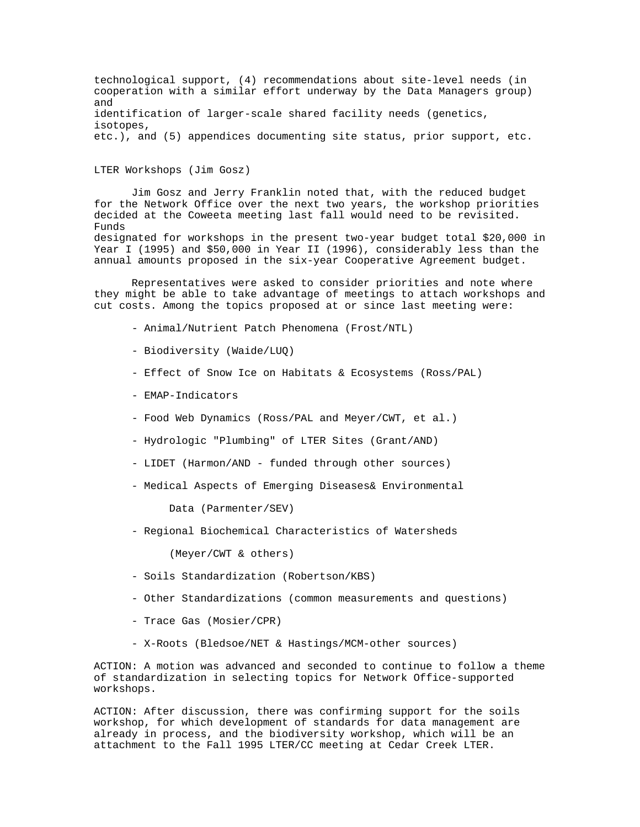technological support, (4) recommendations about site-level needs (in cooperation with a similar effort underway by the Data Managers group) and identification of larger-scale shared facility needs (genetics, isotopes, etc.), and (5) appendices documenting site status, prior support, etc.

LTER Workshops (Jim Gosz)

Jim Gosz and Jerry Franklin noted that, with the reduced budget for the Network Office over the next two years, the workshop priorities decided at the Coweeta meeting last fall would need to be revisited. Funds designated for workshops in the present two-year budget total \$20,000 in Year I (1995) and \$50,000 in Year II (1996), considerably less than the annual amounts proposed in the six-year Cooperative Agreement budget.

Representatives were asked to consider priorities and note where they might be able to take advantage of meetings to attach workshops and cut costs. Among the topics proposed at or since last meeting were:

- Animal/Nutrient Patch Phenomena (Frost/NTL)
- Biodiversity (Waide/LUQ)
- Effect of Snow Ice on Habitats & Ecosystems (Ross/PAL)
- EMAP-Indicators
- Food Web Dynamics (Ross/PAL and Meyer/CWT, et al.)
- Hydrologic "Plumbing" of LTER Sites (Grant/AND)
- LIDET (Harmon/AND funded through other sources)
- Medical Aspects of Emerging Diseases& Environmental

Data (Parmenter/SEV)

- Regional Biochemical Characteristics of Watersheds

(Meyer/CWT & others)

- Soils Standardization (Robertson/KBS)
- Other Standardizations (common measurements and questions)
- Trace Gas (Mosier/CPR)
- X-Roots (Bledsoe/NET & Hastings/MCM-other sources)

ACTION: A motion was advanced and seconded to continue to follow a theme of standardization in selecting topics for Network Office-supported workshops.

ACTION: After discussion, there was confirming support for the soils workshop, for which development of standards for data management are already in process, and the biodiversity workshop, which will be an attachment to the Fall 1995 LTER/CC meeting at Cedar Creek LTER.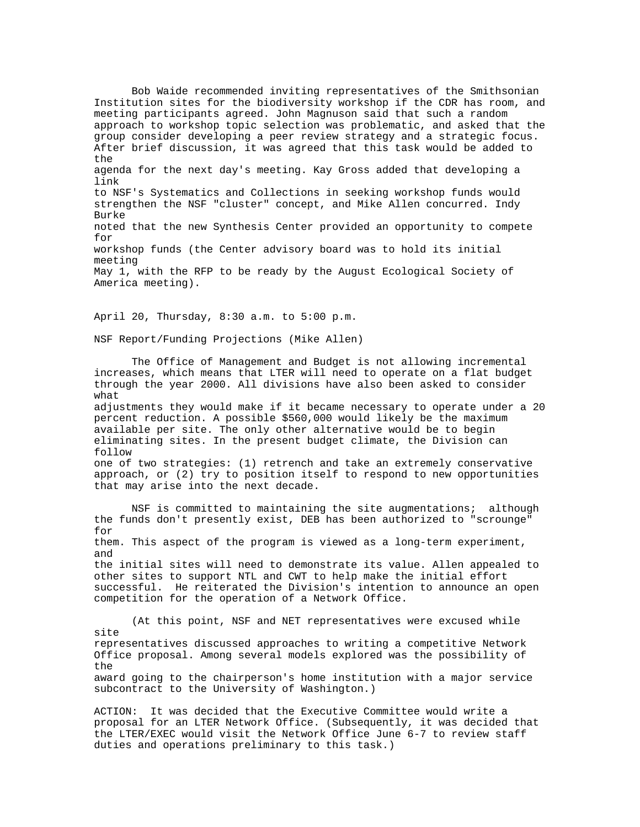Bob Waide recommended inviting representatives of the Smithsonian Institution sites for the biodiversity workshop if the CDR has room, and meeting participants agreed. John Magnuson said that such a random approach to workshop topic selection was problematic, and asked that the group consider developing a peer review strategy and a strategic focus. After brief discussion, it was agreed that this task would be added to the agenda for the next day's meeting. Kay Gross added that developing a link to NSF's Systematics and Collections in seeking workshop funds would strengthen the NSF "cluster" concept, and Mike Allen concurred. Indy Burke noted that the new Synthesis Center provided an opportunity to compete for workshop funds (the Center advisory board was to hold its initial meeting May 1, with the RFP to be ready by the August Ecological Society of America meeting).

April 20, Thursday, 8:30 a.m. to 5:00 p.m.

NSF Report/Funding Projections (Mike Allen)

The Office of Management and Budget is not allowing incremental increases, which means that LTER will need to operate on a flat budget through the year 2000. All divisions have also been asked to consider what

adjustments they would make if it became necessary to operate under a 20 percent reduction. A possible \$560,000 would likely be the maximum available per site. The only other alternative would be to begin eliminating sites. In the present budget climate, the Division can follow

one of two strategies: (1) retrench and take an extremely conservative approach, or (2) try to position itself to respond to new opportunities that may arise into the next decade.

NSF is committed to maintaining the site augmentations; although the funds don't presently exist, DEB has been authorized to "scrounge" for them. This aspect of the program is viewed as a long-term experiment, and the initial sites will need to demonstrate its value. Allen appealed to other sites to support NTL and CWT to help make the initial effort successful. He reiterated the Division's intention to announce an open competition for the operation of a Network Office.

(At this point, NSF and NET representatives were excused while site representatives discussed approaches to writing a competitive Network Office proposal. Among several models explored was the possibility of the award going to the chairperson's home institution with a major service subcontract to the University of Washington.)

ACTION: It was decided that the Executive Committee would write a proposal for an LTER Network Office. (Subsequently, it was decided that the LTER/EXEC would visit the Network Office June 6-7 to review staff duties and operations preliminary to this task.)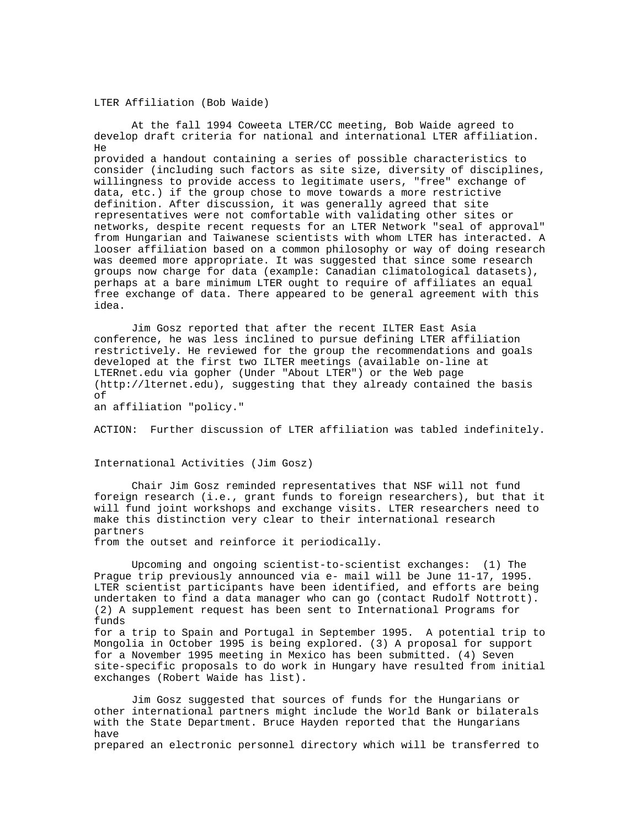# LTER Affiliation (Bob Waide)

At the fall 1994 Coweeta LTER/CC meeting, Bob Waide agreed to develop draft criteria for national and international LTER affiliation.  $H \ominus$ provided a handout containing a series of possible characteristics to consider (including such factors as site size, diversity of disciplines, willingness to provide access to legitimate users, "free" exchange of

data, etc.) if the group chose to move towards a more restrictive definition. After discussion, it was generally agreed that site representatives were not comfortable with validating other sites or networks, despite recent requests for an LTER Network "seal of approval" from Hungarian and Taiwanese scientists with whom LTER has interacted. A looser affiliation based on a common philosophy or way of doing research was deemed more appropriate. It was suggested that since some research groups now charge for data (example: Canadian climatological datasets), perhaps at a bare minimum LTER ought to require of affiliates an equal free exchange of data. There appeared to be general agreement with this idea.

Jim Gosz reported that after the recent ILTER East Asia conference, he was less inclined to pursue defining LTER affiliation restrictively. He reviewed for the group the recommendations and goals developed at the first two ILTER meetings (available on-line at LTERnet.edu via gopher (Under "About LTER") or the Web page (http://lternet.edu), suggesting that they already contained the basis of

an affiliation "policy."

ACTION: Further discussion of LTER affiliation was tabled indefinitely.

International Activities (Jim Gosz)

exchanges (Robert Waide has list).

Chair Jim Gosz reminded representatives that NSF will not fund foreign research (i.e., grant funds to foreign researchers), but that it will fund joint workshops and exchange visits. LTER researchers need to make this distinction very clear to their international research partners

from the outset and reinforce it periodically.

Upcoming and ongoing scientist-to-scientist exchanges: (1) The Prague trip previously announced via e- mail will be June 11-17, 1995. LTER scientist participants have been identified, and efforts are being undertaken to find a data manager who can go (contact Rudolf Nottrott). (2) A supplement request has been sent to International Programs for funds for a trip to Spain and Portugal in September 1995. A potential trip to Mongolia in October 1995 is being explored. (3) A proposal for support for a November 1995 meeting in Mexico has been submitted. (4) Seven

site-specific proposals to do work in Hungary have resulted from initial

Jim Gosz suggested that sources of funds for the Hungarians or other international partners might include the World Bank or bilaterals with the State Department. Bruce Hayden reported that the Hungarians have prepared an electronic personnel directory which will be transferred to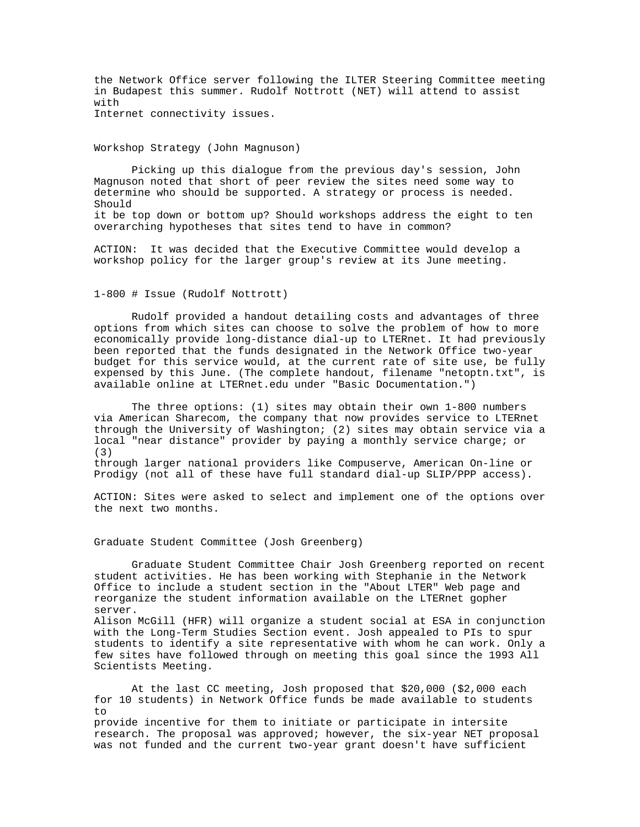the Network Office server following the ILTER Steering Committee meeting in Budapest this summer. Rudolf Nottrott (NET) will attend to assist with Internet connectivity issues.

Workshop Strategy (John Magnuson)

Picking up this dialogue from the previous day's session, John Magnuson noted that short of peer review the sites need some way to determine who should be supported. A strategy or process is needed. Should it be top down or bottom up? Should workshops address the eight to ten overarching hypotheses that sites tend to have in common?

ACTION: It was decided that the Executive Committee would develop a workshop policy for the larger group's review at its June meeting.

1-800 # Issue (Rudolf Nottrott)

Rudolf provided a handout detailing costs and advantages of three options from which sites can choose to solve the problem of how to more economically provide long-distance dial-up to LTERnet. It had previously been reported that the funds designated in the Network Office two-year budget for this service would, at the current rate of site use, be fully expensed by this June. (The complete handout, filename "netoptn.txt", is available online at LTERnet.edu under "Basic Documentation.")

The three options: (1) sites may obtain their own 1-800 numbers via American Sharecom, the company that now provides service to LTERnet through the University of Washington; (2) sites may obtain service via a local "near distance" provider by paying a monthly service charge; or (3) through larger national providers like Compuserve, American On-line or Prodigy (not all of these have full standard dial-up SLIP/PPP access).

ACTION: Sites were asked to select and implement one of the options over the next two months.

Graduate Student Committee (Josh Greenberg)

Scientists Meeting.

Graduate Student Committee Chair Josh Greenberg reported on recent student activities. He has been working with Stephanie in the Network Office to include a student section in the "About LTER" Web page and reorganize the student information available on the LTERnet gopher server. Alison McGill (HFR) will organize a student social at ESA in conjunction with the Long-Term Studies Section event. Josh appealed to PIs to spur students to identify a site representative with whom he can work. Only a few sites have followed through on meeting this goal since the 1993 All

At the last CC meeting, Josh proposed that \$20,000 (\$2,000 each for 10 students) in Network Office funds be made available to students to provide incentive for them to initiate or participate in intersite research. The proposal was approved; however, the six-year NET proposal

was not funded and the current two-year grant doesn't have sufficient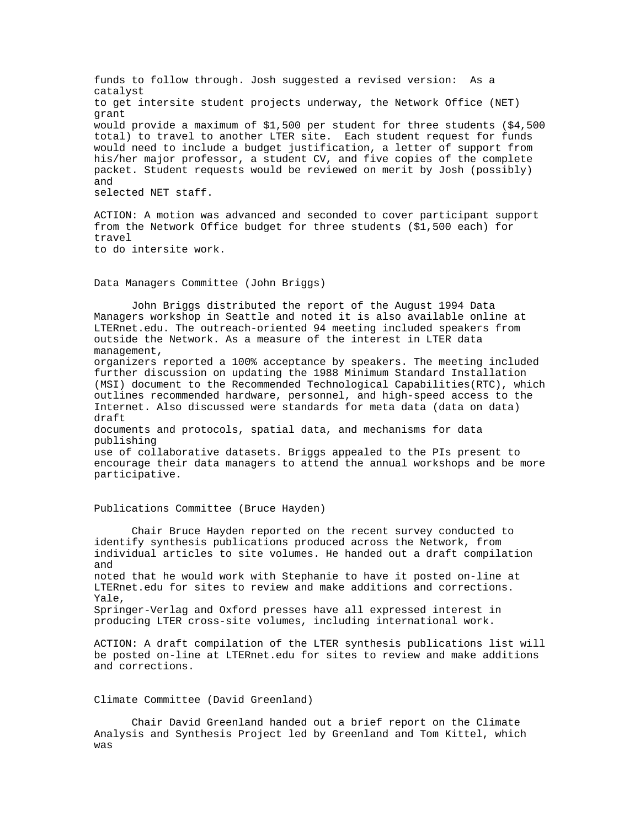funds to follow through. Josh suggested a revised version: As a catalyst to get intersite student projects underway, the Network Office (NET) grant would provide a maximum of \$1,500 per student for three students (\$4,500 total) to travel to another LTER site. Each student request for funds would need to include a budget justification, a letter of support from his/her major professor, a student CV, and five copies of the complete packet. Student requests would be reviewed on merit by Josh (possibly) and selected NET staff.

ACTION: A motion was advanced and seconded to cover participant support from the Network Office budget for three students (\$1,500 each) for travel to do intersite work.

Data Managers Committee (John Briggs)

John Briggs distributed the report of the August 1994 Data Managers workshop in Seattle and noted it is also available online at LTERnet.edu. The outreach-oriented 94 meeting included speakers from outside the Network. As a measure of the interest in LTER data management, organizers reported a 100% acceptance by speakers. The meeting included further discussion on updating the 1988 Minimum Standard Installation (MSI) document to the Recommended Technological Capabilities(RTC), which outlines recommended hardware, personnel, and high-speed access to the Internet. Also discussed were standards for meta data (data on data) draft documents and protocols, spatial data, and mechanisms for data publishing use of collaborative datasets. Briggs appealed to the PIs present to encourage their data managers to attend the annual workshops and be more participative.

#### Publications Committee (Bruce Hayden)

Chair Bruce Hayden reported on the recent survey conducted to identify synthesis publications produced across the Network, from individual articles to site volumes. He handed out a draft compilation and noted that he would work with Stephanie to have it posted on-line at LTERnet.edu for sites to review and make additions and corrections. Yale, Springer-Verlag and Oxford presses have all expressed interest in producing LTER cross-site volumes, including international work.

ACTION: A draft compilation of the LTER synthesis publications list will be posted on-line at LTERnet.edu for sites to review and make additions and corrections.

# Climate Committee (David Greenland)

Chair David Greenland handed out a brief report on the Climate Analysis and Synthesis Project led by Greenland and Tom Kittel, which was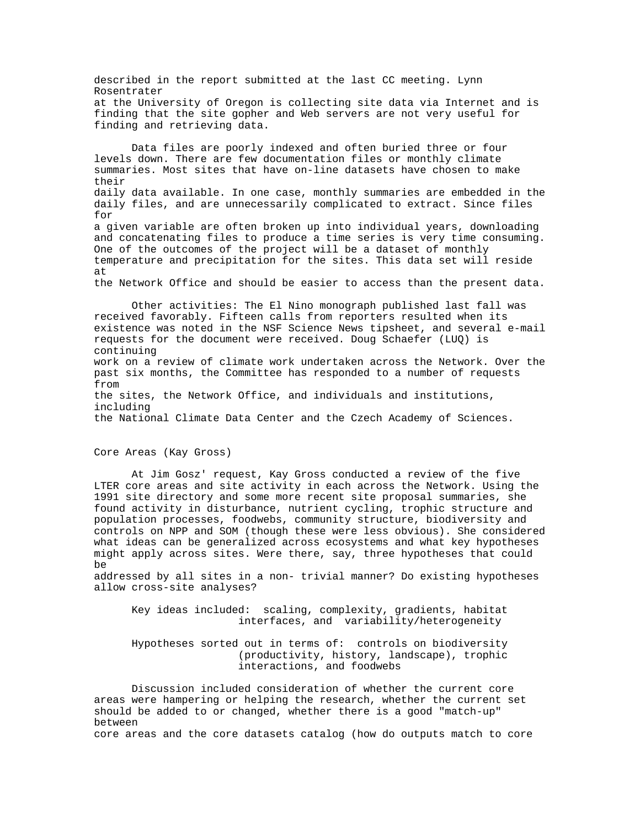described in the report submitted at the last CC meeting. Lynn Rosentrater at the University of Oregon is collecting site data via Internet and is finding that the site gopher and Web servers are not very useful for finding and retrieving data.

Data files are poorly indexed and often buried three or four levels down. There are few documentation files or monthly climate summaries. Most sites that have on-line datasets have chosen to make their daily data available. In one case, monthly summaries are embedded in the daily files, and are unnecessarily complicated to extract. Since files for a given variable are often broken up into individual years, downloading and concatenating files to produce a time series is very time consuming. One of the outcomes of the project will be a dataset of monthly temperature and precipitation for the sites. This data set will reside at the Network Office and should be easier to access than the present data.

Other activities: The El Nino monograph published last fall was received favorably. Fifteen calls from reporters resulted when its existence was noted in the NSF Science News tipsheet, and several e-mail requests for the document were received. Doug Schaefer (LUQ) is continuing work on a review of climate work undertaken across the Network. Over the past six months, the Committee has responded to a number of requests from the sites, the Network Office, and individuals and institutions, including the National Climate Data Center and the Czech Academy of Sciences.

Core Areas (Kay Gross)

At Jim Gosz' request, Kay Gross conducted a review of the five LTER core areas and site activity in each across the Network. Using the 1991 site directory and some more recent site proposal summaries, she found activity in disturbance, nutrient cycling, trophic structure and population processes, foodwebs, community structure, biodiversity and controls on NPP and SOM (though these were less obvious). She considered what ideas can be generalized across ecosystems and what key hypotheses might apply across sites. Were there, say, three hypotheses that could be

addressed by all sites in a non- trivial manner? Do existing hypotheses allow cross-site analyses?

Key ideas included: scaling, complexity, gradients, habitat interfaces, and variability/heterogeneity

Hypotheses sorted out in terms of: controls on biodiversity (productivity, history, landscape), trophic interactions, and foodwebs

Discussion included consideration of whether the current core areas were hampering or helping the research, whether the current set should be added to or changed, whether there is a good "match-up" between core areas and the core datasets catalog (how do outputs match to core